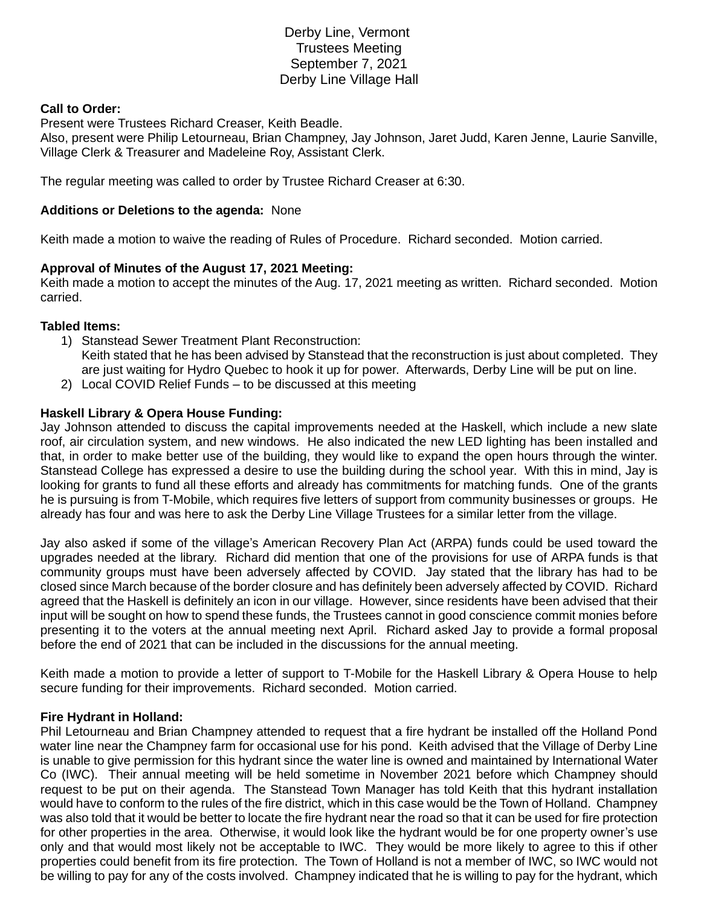# Derby Line, Vermont Trustees Meeting September 7, 2021 Derby Line Village Hall

### **Call to Order:**

Present were Trustees Richard Creaser, Keith Beadle.

Also, present were Philip Letourneau, Brian Champney, Jay Johnson, Jaret Judd, Karen Jenne, Laurie Sanville, Village Clerk & Treasurer and Madeleine Roy, Assistant Clerk.

The regular meeting was called to order by Trustee Richard Creaser at 6:30.

### **Additions or Deletions to the agenda:** None

Keith made a motion to waive the reading of Rules of Procedure. Richard seconded. Motion carried.

## **Approval of Minutes of the August 17, 2021 Meeting:**

Keith made a motion to accept the minutes of the Aug. 17, 2021 meeting as written. Richard seconded. Motion carried.

#### **Tabled Items:**

- 1) Stanstead Sewer Treatment Plant Reconstruction: Keith stated that he has been advised by Stanstead that the reconstruction is just about completed. They are just waiting for Hydro Quebec to hook it up for power. Afterwards, Derby Line will be put on line.
- 2) Local COVID Relief Funds to be discussed at this meeting

## **Haskell Library & Opera House Funding:**

Jay Johnson attended to discuss the capital improvements needed at the Haskell, which include a new slate roof, air circulation system, and new windows. He also indicated the new LED lighting has been installed and that, in order to make better use of the building, they would like to expand the open hours through the winter. Stanstead College has expressed a desire to use the building during the school year. With this in mind, Jay is looking for grants to fund all these efforts and already has commitments for matching funds. One of the grants he is pursuing is from T-Mobile, which requires five letters of support from community businesses or groups. He already has four and was here to ask the Derby Line Village Trustees for a similar letter from the village.

Jay also asked if some of the village's American Recovery Plan Act (ARPA) funds could be used toward the upgrades needed at the library. Richard did mention that one of the provisions for use of ARPA funds is that community groups must have been adversely affected by COVID. Jay stated that the library has had to be closed since March because of the border closure and has definitely been adversely affected by COVID. Richard agreed that the Haskell is definitely an icon in our village. However, since residents have been advised that their input will be sought on how to spend these funds, the Trustees cannot in good conscience commit monies before presenting it to the voters at the annual meeting next April. Richard asked Jay to provide a formal proposal before the end of 2021 that can be included in the discussions for the annual meeting.

Keith made a motion to provide a letter of support to T-Mobile for the Haskell Library & Opera House to help secure funding for their improvements. Richard seconded. Motion carried.

#### **Fire Hydrant in Holland:**

Phil Letourneau and Brian Champney attended to request that a fire hydrant be installed off the Holland Pond water line near the Champney farm for occasional use for his pond. Keith advised that the Village of Derby Line is unable to give permission for this hydrant since the water line is owned and maintained by International Water Co (IWC). Their annual meeting will be held sometime in November 2021 before which Champney should request to be put on their agenda. The Stanstead Town Manager has told Keith that this hydrant installation would have to conform to the rules of the fire district, which in this case would be the Town of Holland. Champney was also told that it would be better to locate the fire hydrant near the road so that it can be used for fire protection for other properties in the area. Otherwise, it would look like the hydrant would be for one property owner's use only and that would most likely not be acceptable to IWC. They would be more likely to agree to this if other properties could benefit from its fire protection. The Town of Holland is not a member of IWC, so IWC would not be willing to pay for any of the costs involved. Champney indicated that he is willing to pay for the hydrant, which